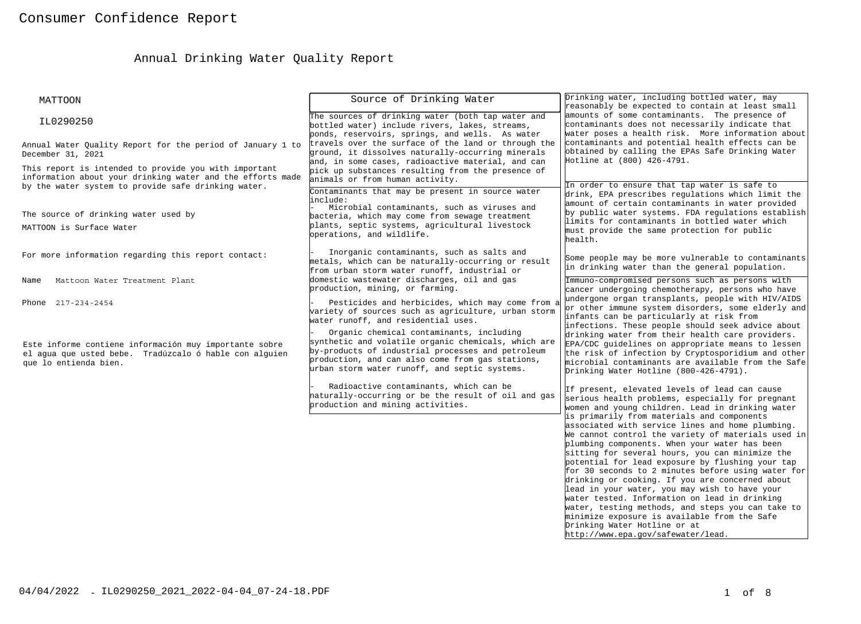# Annual Drinking Water Quality Report

| <b>MATTOON</b>                                                                                                      | Source of Drinking Water                                                                                 | Drinking water, including bottled water, may                                                          |
|---------------------------------------------------------------------------------------------------------------------|----------------------------------------------------------------------------------------------------------|-------------------------------------------------------------------------------------------------------|
|                                                                                                                     | The sources of drinking water (both tap water and                                                        | reasonably be expected to contain at least small<br>amounts of some contaminants. The presence of     |
| IL0290250                                                                                                           | bottled water) include rivers, lakes, streams,                                                           | contaminants does not necessarily indicate that                                                       |
|                                                                                                                     | ponds, reservoirs, springs, and wells. As water                                                          | water poses a health risk. More information about<br>contaminants and potential health effects can be |
| Annual Water Quality Report for the period of January 1 to<br>December 31, 2021                                     | travels over the surface of the land or through the<br>ground, it dissolves naturally-occurring minerals | obtained by calling the EPAs Safe Drinking Water                                                      |
|                                                                                                                     | and, in some cases, radioactive material, and can                                                        | Hotline at (800) 426-4791.                                                                            |
| This report is intended to provide you with important<br>information about your drinking water and the efforts made | pick up substances resulting from the presence of<br>animals or from human activity.                     |                                                                                                       |
| by the water system to provide safe drinking water.                                                                 | Contaminants that may be present in source water                                                         | In order to ensure that tap water is safe to                                                          |
|                                                                                                                     | include:                                                                                                 | drink, EPA prescribes regulations which limit the<br>amount of certain contaminants in water provided |
| The source of drinking water used by                                                                                | Microbial contaminants, such as viruses and<br>bacteria, which may come from sewage treatment            | by public water systems. FDA regulations establish                                                    |
| MATTOON is Surface Water                                                                                            | plants, septic systems, agricultural livestock                                                           | limits for contaminants in bottled water which                                                        |
|                                                                                                                     | operations, and wildlife.                                                                                | must provide the same protection for public<br>health.                                                |
| For more information regarding this report contact:                                                                 | Inorganic contaminants, such as salts and                                                                |                                                                                                       |
|                                                                                                                     | metals, which can be naturally-occurring or result                                                       | Some people may be more vulnerable to contaminants<br>in drinking water than the general population.  |
| Mattoon Water Treatment Plant<br>Name                                                                               | from urban storm water runoff, industrial or<br>domestic wastewater discharges, oil and gas              | Immuno-compromised persons such as persons with                                                       |
|                                                                                                                     | production, mining, or farming.                                                                          | cancer undergoing chemotherapy, persons who have                                                      |
| Phone 217-234-2454                                                                                                  | Pesticides and herbicides, which may come from a                                                         | undergone organ transplants, people with HIV/AIDS                                                     |
|                                                                                                                     | variety of sources such as agriculture, urban storm                                                      | or other immune system disorders, some elderly and<br>infants can be particularly at risk from        |
|                                                                                                                     | water runoff, and residential uses.                                                                      | infections. These people should seek advice about                                                     |
|                                                                                                                     | Organic chemical contaminants, including<br>synthetic and volatile organic chemicals, which are          | drinking water from their health care providers.<br>EPA/CDC guidelines on appropriate means to lessen |
| Este informe contiene información muy importante sobre<br>el aqua que usted bebe. Tradúzcalo ó hable con alquien    | by-products of industrial processes and petroleum                                                        | the risk of infection by Cryptosporidium and other                                                    |
| que lo entienda bien.                                                                                               | production, and can also come from gas stations,<br>urban storm water runoff, and septic systems.        | microbial contaminants are available from the Safe                                                    |
|                                                                                                                     |                                                                                                          | Drinking Water Hotline (800-426-4791).                                                                |
|                                                                                                                     | Radioactive contaminants, which can be                                                                   | If present, elevated levels of lead can cause                                                         |
|                                                                                                                     | haturally-occurring or be the result of oil and gas<br>production and mining activities.                 | serious health problems, especially for pregnant<br>women and young children. Lead in drinking water  |
|                                                                                                                     |                                                                                                          | is primarily from materials and components                                                            |
|                                                                                                                     |                                                                                                          | associated with service lines and home plumbing.                                                      |
|                                                                                                                     |                                                                                                          | We cannot control the variety of materials used in<br>plumbing components. When your water has been   |
|                                                                                                                     |                                                                                                          | sitting for several hours, you can minimize the                                                       |
|                                                                                                                     |                                                                                                          | potential for lead exposure by flushing your tap                                                      |
|                                                                                                                     |                                                                                                          | for 30 seconds to 2 minutes before using water for<br>drinking or cooking. If you are concerned about |
|                                                                                                                     |                                                                                                          | lead in your water, you may wish to have your                                                         |
|                                                                                                                     |                                                                                                          | water tested. Information on lead in drinking                                                         |
|                                                                                                                     |                                                                                                          | water, testing methods, and steps you can take to<br>minimize exposure is available from the Safe     |
|                                                                                                                     |                                                                                                          | Drinking Water Hotline or at                                                                          |
|                                                                                                                     |                                                                                                          | http://www.epa.gov/safewater/lead.                                                                    |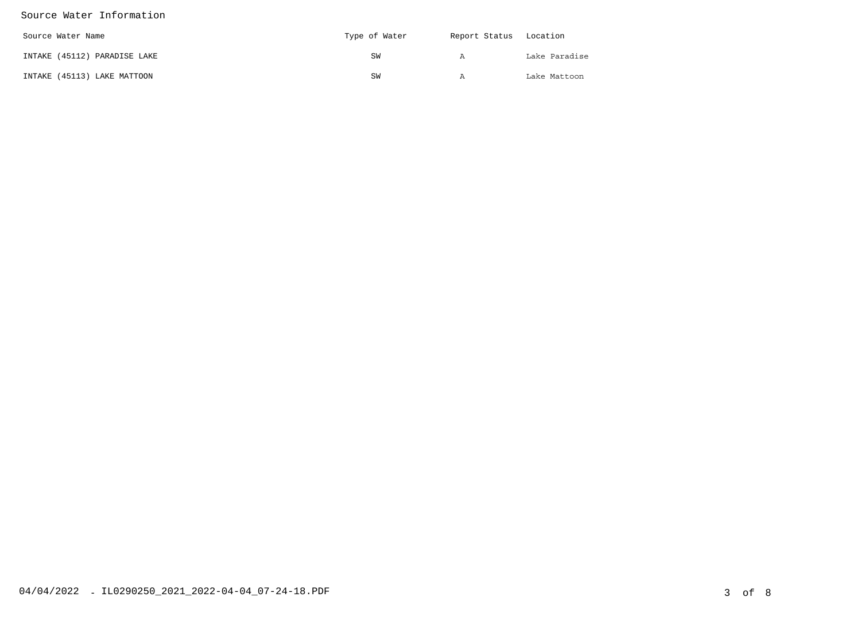#### Source Water Information

| Source Water Name            | Type of Water | Report Status Location |               |
|------------------------------|---------------|------------------------|---------------|
| INTAKE (45112) PARADISE LAKE | SW            | А                      | Lake Paradise |
| INTAKE (45113) LAKE MATTOON  | SW            | A                      | Lake Mattoon  |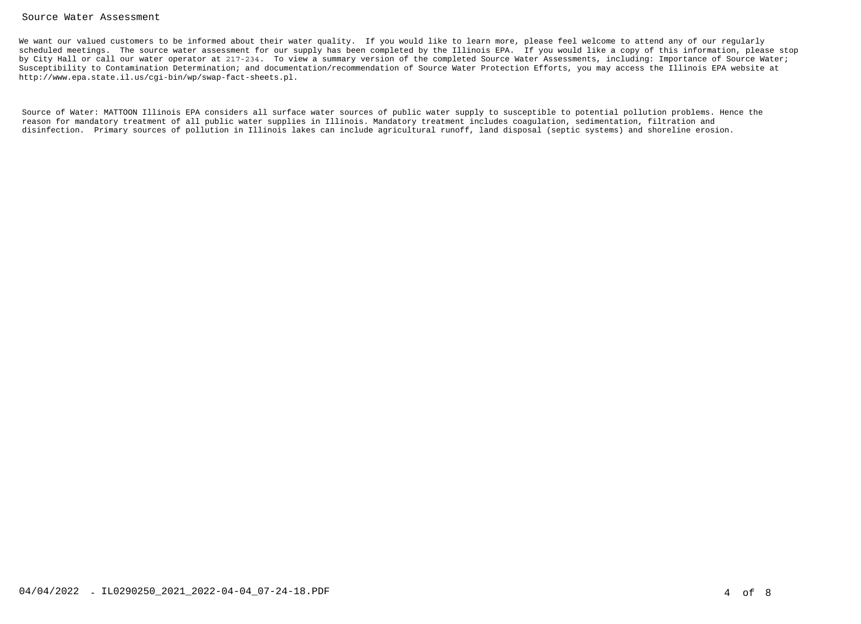#### Source Water Assessment

We want our valued customers to be informed about their water quality. If you would like to learn more, please feel welcome to attend any of our regularly scheduled meetings. The source water assessment for our supply has been completed by the Illinois EPA. If you would like a copy of this information, please stopby City Hall or call our water operator at 217-234. To view a summary version of the completed Source Water Assessments, including: Importance of Source Water; Susceptibility to Contamination Determination; and documentation/recommendation of Source Water Protection Efforts, you may access the Illinois EPA website at http://www.epa.state.il.us/cgi-bin/wp/swap-fact-sheets.pl.

Source of Water: MATTOON Illinois EPA considers all surface water sources of public water supply to susceptible to potential pollution problems. Hence the reason for mandatory treatment of all public water supplies in Illinois. Mandatory treatment includes coagulation, sedimentation, filtration anddisinfection. Primary sources of pollution in Illinois lakes can include agricultural runoff, land disposal (septic systems) and shoreline erosion.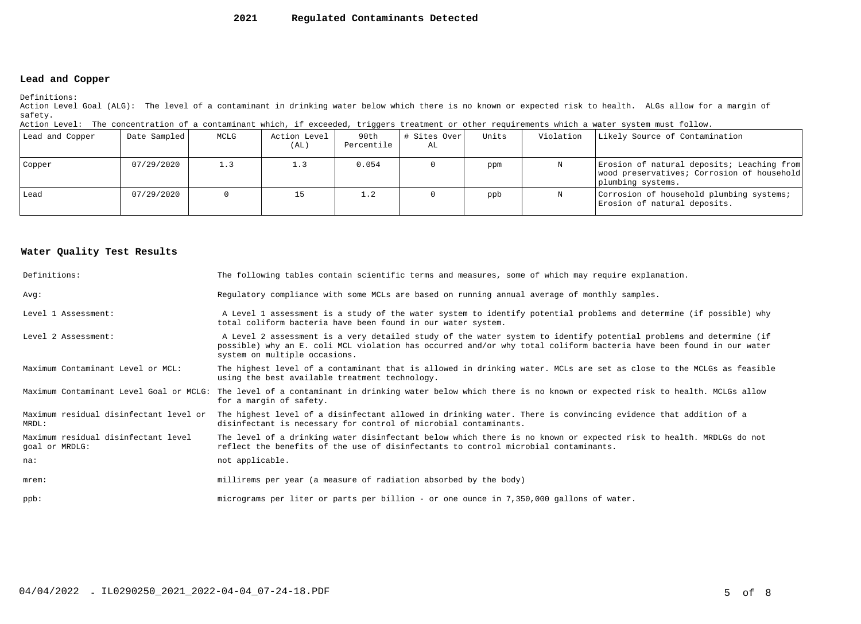#### **2021Regulated Contaminants Detected**

#### **Lead and Copper**

Definitions:

 Action Level Goal (ALG): The level of a contaminant in drinking water below which there is no known or expected risk to health. ALGs allow for a margin ofsafety.

| Action Level: The concentration of a contaminant which, if exceeded, triggers treatment or other requirements which a water system must follow. |  |  |  |
|-------------------------------------------------------------------------------------------------------------------------------------------------|--|--|--|
|                                                                                                                                                 |  |  |  |

| Lead and Copper | Date Sampled | MCLG | Action Level<br>(AL) | 90th<br>Percentile | # Sites Over<br>AL | Units | Violation | Likely Source of Contamination                                                                                |
|-----------------|--------------|------|----------------------|--------------------|--------------------|-------|-----------|---------------------------------------------------------------------------------------------------------------|
| Copper          | 07/29/2020   | 1.3  |                      | 0.054              |                    | ppm   |           | Erosion of natural deposits; Leaching from<br>wood preservatives; Corrosion of household<br>plumbing systems. |
| Lead            | 07/29/2020   |      |                      | 1.2                |                    | ppb   |           | Corrosion of household plumbing systems;<br>Erosion of natural deposits.                                      |

#### **Water Quality Test Results**

| Definitions:                                          | The following tables contain scientific terms and measures, some of which may require explanation.                                                                                                                                                                         |
|-------------------------------------------------------|----------------------------------------------------------------------------------------------------------------------------------------------------------------------------------------------------------------------------------------------------------------------------|
| Avq:                                                  | Regulatory compliance with some MCLs are based on running annual average of monthly samples.                                                                                                                                                                               |
| Level 1 Assessment:                                   | A Level 1 assessment is a study of the water system to identify potential problems and determine (if possible) why<br>total coliform bacteria have been found in our water system.                                                                                         |
| Level 2 Assessment:                                   | A Level 2 assessment is a very detailed study of the water system to identify potential problems and determine (if<br>possible) why an E. coli MCL violation has occurred and/or why total coliform bacteria have been found in our water<br>system on multiple occasions. |
| Maximum Contaminant Level or MCL:                     | The highest level of a contaminant that is allowed in drinking water. MCLs are set as close to the MCLGs as feasible<br>using the best available treatment technology.                                                                                                     |
| Maximum Contaminant Level Goal or MCLG:               | The level of a contaminant in drinking water below which there is no known or expected risk to health. MCLGs allow<br>for a margin of safety.                                                                                                                              |
| Maximum residual disinfectant level or<br>MRDL:       | The highest level of a disinfectant allowed in drinking water. There is convincing evidence that addition of a<br>disinfectant is necessary for control of microbial contaminants.                                                                                         |
| Maximum residual disinfectant level<br>goal or MRDLG: | The level of a drinking water disinfectant below which there is no known or expected risk to health. MRDLGs do not<br>reflect the benefits of the use of disinfectants to control microbial contaminants.                                                                  |
| na:                                                   | not applicable.                                                                                                                                                                                                                                                            |
| $m$ rem:                                              | millirems per year (a measure of radiation absorbed by the body)                                                                                                                                                                                                           |
| $ppb$ :                                               | micrograms per liter or parts per billion - or one ounce in 7,350,000 gallons of water.                                                                                                                                                                                    |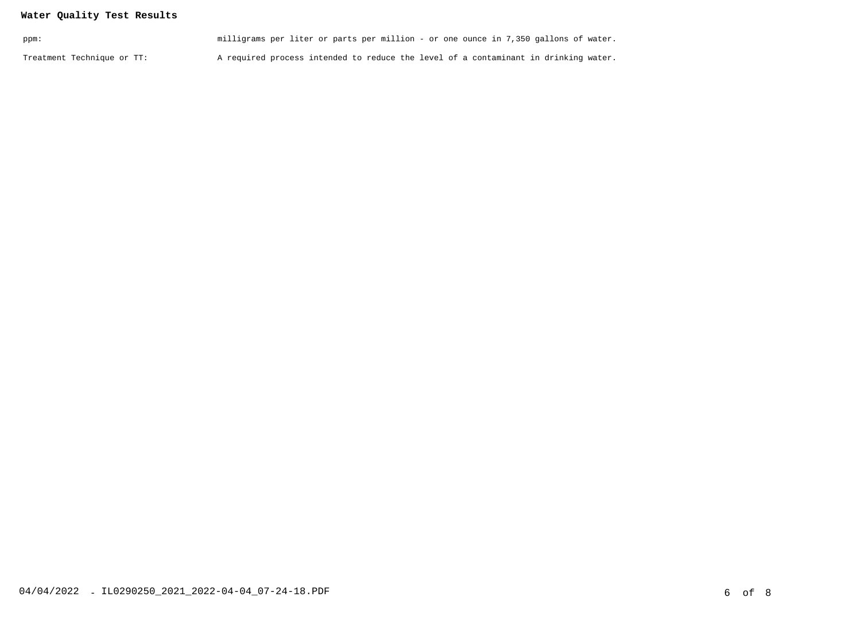## **Water Quality Test Results**

| ppm:                       | milligrams per liter or parts per million - or one ounce in 7,350 gallons of water. |  |
|----------------------------|-------------------------------------------------------------------------------------|--|
| Treatment Technique or TT: | A required process intended to reduce the level of a contaminant in drinking water. |  |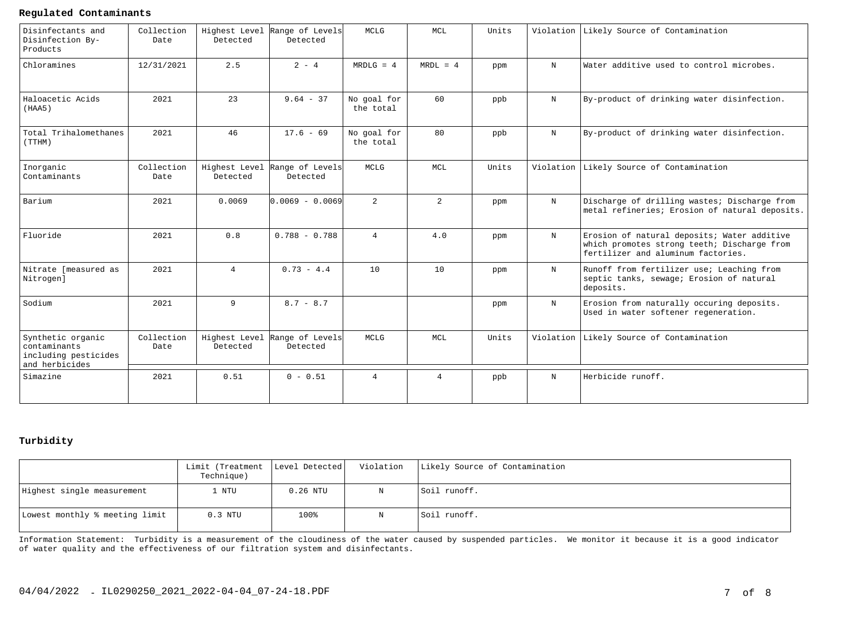#### **Regulated Contaminants**

| Disinfectants and<br>Disinfection By-<br>Products                           | Collection<br>Date | Detected                  | Highest Level Range of Levels<br>Detected | MCLG                     | MCL            | Units |             | Violation Likely Source of Contamination                                                                                         |
|-----------------------------------------------------------------------------|--------------------|---------------------------|-------------------------------------------|--------------------------|----------------|-------|-------------|----------------------------------------------------------------------------------------------------------------------------------|
| Chloramines                                                                 | 12/31/2021         | 2.5                       | $2 - 4$                                   | $MRDLG = 4$              | $MRDL = 4$     | ppm   | N           | Water additive used to control microbes.                                                                                         |
| Haloacetic Acids<br>(HAA5)                                                  | 2021               | 23                        | $9.64 - 37$                               | No goal for<br>the total | 60             | ppb   | $_{\rm N}$  | By-product of drinking water disinfection.                                                                                       |
| Total Trihalomethanes<br>(TTHM)                                             | 2021               | 46                        | $17.6 - 69$                               | No goal for<br>the total | 80             | ppb   | $_{\rm N}$  | By-product of drinking water disinfection.                                                                                       |
| Inorganic<br>Contaminants                                                   | Collection<br>Date | Highest Level<br>Detected | Range of Levels<br>Detected               | MCLG                     | MCL            | Units | Violation   | Likely Source of Contamination                                                                                                   |
| Barium                                                                      | 2021               | 0.0069                    | lo.oo69 - o.oo69l                         | $\overline{a}$           | $\overline{2}$ | ppm   | $_{\rm N}$  | Discharge of drilling wastes; Discharge from<br>metal refineries; Erosion of natural deposits.                                   |
| Fluoride                                                                    | 2021               | 0.8                       | $0.788 - 0.788$                           | $\overline{4}$           | 4.0            | ppm   | $_{\rm N}$  | Erosion of natural deposits; Water additive<br>which promotes strong teeth; Discharge from<br>fertilizer and aluminum factories. |
| Nitrate [measured as<br>Nitrogen]                                           | 2021               | $\overline{4}$            | $0.73 - 4.4$                              | 10                       | 10             | ppm   | N           | Runoff from fertilizer use; Leaching from<br>septic tanks, sewage; Erosion of natural<br>deposits.                               |
| Sodium                                                                      | 2021               | 9                         | $8.7 - 8.7$                               |                          |                | ppm   | $\mathbf N$ | Erosion from naturally occuring deposits.<br>Used in water softener regeneration.                                                |
| Synthetic organic<br>contaminants<br>including pesticides<br>and herbicides | Collection<br>Date | Highest Level<br>Detected | Range of Levels<br>Detected               | <b>MCLG</b>              | <b>MCL</b>     | Units |             | Violation Likely Source of Contamination                                                                                         |
| Simazine                                                                    | 2021               | 0.51                      | $0 - 0.51$                                | $\overline{4}$           | $\overline{4}$ | ppb   | $\mathbf N$ | Herbicide runoff.                                                                                                                |

## **Turbidity**

|                                | Limit (Treatment   Level Detected  <br>Technique) |            | Violation | Likely Source of Contamination |
|--------------------------------|---------------------------------------------------|------------|-----------|--------------------------------|
| Highest single measurement     | . NTU                                             | $0.26$ NTU |           | Soil runoff.                   |
| Lowest monthly % meeting limit | $0.3$ NTU                                         | 100%       |           | Soil runoff.                   |

Information Statement: Turbidity is a measurement of the cloudiness of the water caused by suspended particles. We monitor it because it is a good indicatorof water quality and the effectiveness of our filtration system and disinfectants.